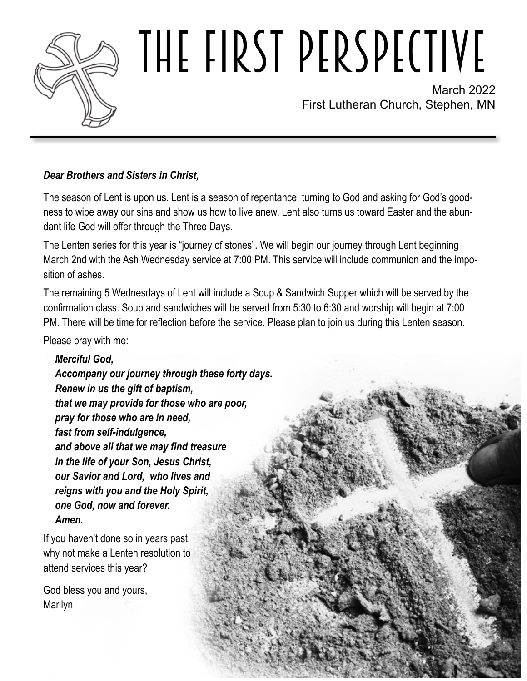

# THE FIRST PERSPECTIVE

March 2022 First Lutheran Church, Stephen, MN

### *Dear Brothers and Sisters in Christ,*

The season of Lent is upon us. Lent is a season of repentance, turning to God and asking for God's goodness to wipe away our sins and show us how to live anew. Lent also turns us toward Easter and the abundant life God will offer through the Three Days.

The Lenten series for this year is "journey of stones". We will begin our journey through Lent beginning March 2nd with the Ash Wednesday service at 7:00 PM. This service will include communion and the imposition of ashes.

The remaining 5 Wednesdays of Lent will include a Soup & Sandwich Supper which will be served by the confirmation class. Soup and sandwiches will be served from 5:30 to 6:30 and worship will begin at 7:00 PM. There will be time for reflection before the service. Please plan to join us during this Lenten season.

Please pray with me:

*Merciful God,*

*Accompany our journey through these forty days. Renew in us the gift of baptism, that we may provide for those who are poor, pray for those who are in need, fast from self-indulgence, and above all that we may find treasure in the life of your Son, Jesus Christ, our Savior and Lord, who lives and reigns with you and the Holy Spirit, one God, now and forever. Amen.*

If you haven't done so in years past, why not make a Lenten resolution to attend services this year?

God bless you and yours, Marilyn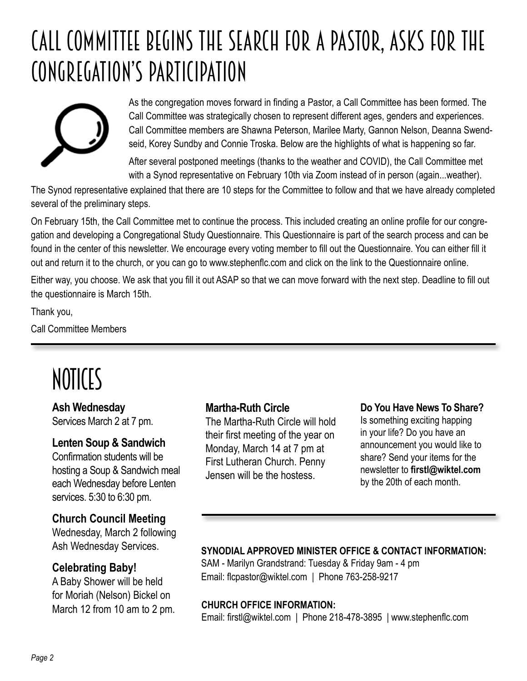# Call Committee Begins The Search for a Pastor, asks for the congregation'S participation



As the congregation moves forward in finding a Pastor, a Call Committee has been formed. The Call Committee was strategically chosen to represent different ages, genders and experiences. Call Committee members are Shawna Peterson, Marilee Marty, Gannon Nelson, Deanna Swendseid, Korey Sundby and Connie Troska. Below are the highlights of what is happening so far.

After several postponed meetings (thanks to the weather and COVID), the Call Committee met with a Synod representative on February 10th via Zoom instead of in person (again...weather).

The Synod representative explained that there are 10 steps for the Committee to follow and that we have already completed several of the preliminary steps.

On February 15th, the Call Committee met to continue the process. This included creating an online profile for our congregation and developing a Congregational Study Questionnaire. This Questionnaire is part of the search process and can be found in the center of this newsletter. We encourage every voting member to fill out the Questionnaire. You can either fill it out and return it to the church, or you can go to www.stephenflc.com and click on the link to the Questionnaire online.

Either way, you choose. We ask that you fill it out ASAP so that we can move forward with the next step. Deadline to fill out the questionnaire is March 15th.

Thank you,

Call Committee Members

# NOTICES

# **Ash Wednesday**

Services March 2 at 7 pm.

#### **Lenten Soup & Sandwich**

Confirmation students will be hosting a Soup & Sandwich meal each Wednesday before Lenten services. 5:30 to 6:30 pm.

### **Church Council Meeting**

Wednesday, March 2 following Ash Wednesday Services.

### **Celebrating Baby!**

A Baby Shower will be held for Moriah (Nelson) Bickel on March 12 from 10 am to 2 pm.

#### **Martha-Ruth Circle**

The Martha-Ruth Circle will hold their first meeting of the year on Monday, March 14 at 7 pm at First Lutheran Church. Penny Jensen will be the hostess.

#### **Do You Have News To Share?**

Is something exciting happing in your life? Do you have an announcement you would like to share? Send your items for the newsletter to **firstl@wiktel.com** by the 20th of each month.

#### **SYNODIAL APPROVED MINISTER OFFICE & CONTACT INFORMATION:**

SAM - Marilyn Grandstrand: Tuesday & Friday 9am - 4 pm Email: flcpastor@wiktel.com | Phone 763-258-9217

#### **CHURCH OFFICE INFORMATION:**

Email: firstl@wiktel.com | Phone 218-478-3895 | www.stephenflc.com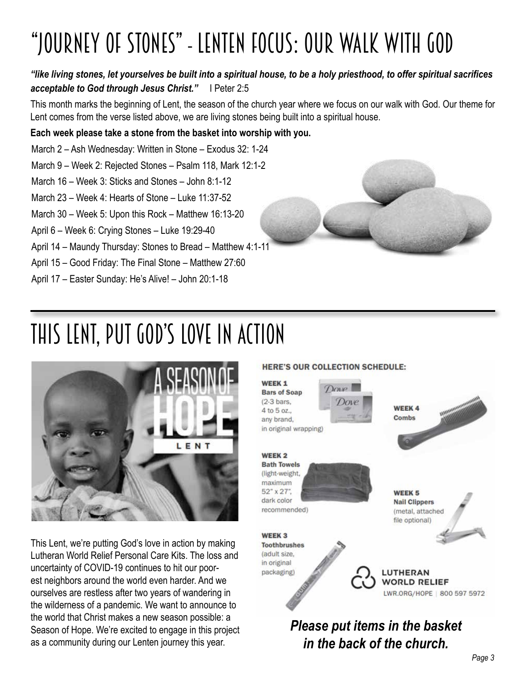# "Journey Of Stones" - Lenten Focus: Our Walk With God

### *"like living stones, let yourselves be built into a spiritual house, to be a holy priesthood, to offer spiritual sacrifices acceptable to God through Jesus Christ."* I Peter 2:5

This month marks the beginning of Lent, the season of the church year where we focus on our walk with God. Our theme for Lent comes from the verse listed above, we are living stones being built into a spiritual house.

#### **Each week please take a stone from the basket into worship with you.**

- March 2 Ash Wednesday: Written in Stone Exodus 32: 1-24
- March 9 Week 2: Rejected Stones Psalm 118, Mark 12:1-2
- March 16 Week 3: Sticks and Stones John 8:1-12
- March  $23 -$  Week 4: Hearts of Stone Luke 11:37-52
- March 30 Week 5: Upon this Rock Matthew 16:13-20
- April 6 Week 6: Crying Stones Luke 19:29-40
- April 14 Maundy Thursday: Stones to Bread Matthew 4:1-11
- April 15 Good Friday: The Final Stone Matthew 27:60
- April 17 Easter Sunday: He's Alive! John 20:1-18



# This Lent, Put God's love in action



This Lent, we're putting God's love in action by making Lutheran World Relief Personal Care Kits. The loss and uncertainty of COVID-19 continues to hit our poorest neighbors around the world even harder. And we ourselves are restless after two years of wandering in the wilderness of a pandemic. We want to announce to the world that Christ makes a new season possible: a Season of Hope. We're excited to engage in this project as a community during our Lenten journey this year.

#### HERE'S OUR COLLECTION SCHEDULE:

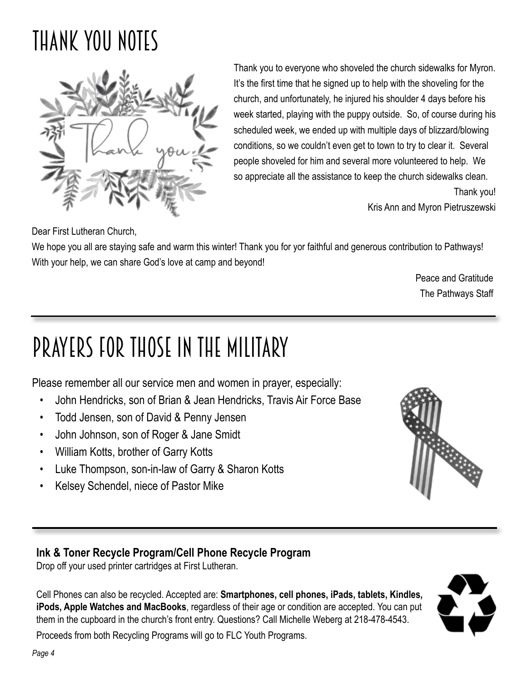# Thank you notes



Thank you to everyone who shoveled the church sidewalks for Myron. It's the first time that he signed up to help with the shoveling for the church, and unfortunately, he injured his shoulder 4 days before his week started, playing with the puppy outside. So, of course during his scheduled week, we ended up with multiple days of blizzard/blowing conditions, so we couldn't even get to town to try to clear it. Several people shoveled for him and several more volunteered to help. We so appreciate all the assistance to keep the church sidewalks clean.

Thank you!

Kris Ann and Myron Pietruszewski

Dear First Lutheran Church,

We hope you all are staying safe and warm this winter! Thank you for yor faithful and generous contribution to Pathways! With your help, we can share God's love at camp and beyond!

> Peace and Gratitude The Pathways Staff

# Prayers for those in the military

Please remember all our service men and women in prayer, especially:

- John Hendricks, son of Brian & Jean Hendricks, Travis Air Force Base
- Todd Jensen, son of David & Penny Jensen
- John Johnson, son of Roger & Jane Smidt
- William Kotts, brother of Garry Kotts
- Luke Thompson, son-in-law of Garry & Sharon Kotts
- Kelsey Schendel, niece of Pastor Mike



### **Ink & Toner Recycle Program/Cell Phone Recycle Program**

Drop off your used printer cartridges at First Lutheran.

Cell Phones can also be recycled. Accepted are: **Smartphones, cell phones, iPads, tablets, Kindles, iPods, Apple Watches and MacBooks**, regardless of their age or condition are accepted. You can put them in the cupboard in the church's front entry. Questions? Call Michelle Weberg at 218-478-4543.



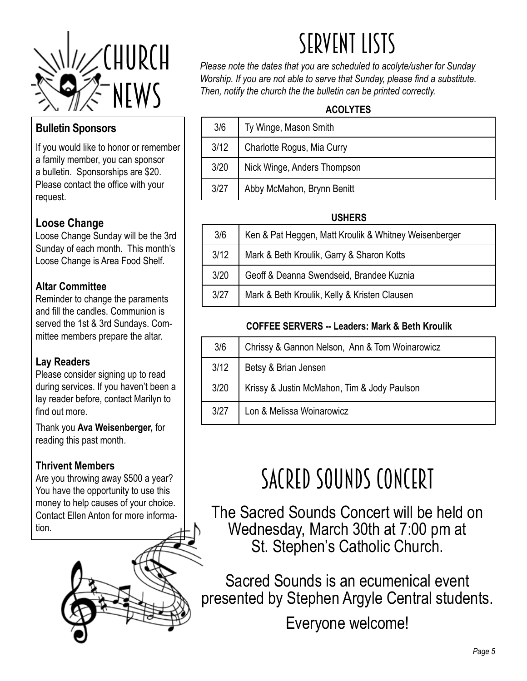

### **Bulletin Sponsors**

If you would like to honor or remember a family member, you can sponsor a bulletin. Sponsorships are \$20. Please contact the office with your request.

### **Loose Change**

Loose Change Sunday will be the 3rd Sunday of each month. This month's Loose Change is Area Food Shelf.

### **Altar Committee**

Reminder to change the paraments and fill the candles. Communion is served the 1st & 3rd Sundays. Committee members prepare the altar.

### **Lay Readers**

Please consider signing up to read during services. If you haven't been a lay reader before, contact Marilyn to find out more.

Thank you **Ava Weisenberger,** for reading this past month.

### **Thrivent Members**

Are you throwing away \$500 a year? You have the opportunity to use this money to help causes of your choice. Contact Ellen Anton for more information.



# SERVENT LISTS

*Please note the dates that you are scheduled to acolyte/usher for Sunday Worship. If you are not able to serve that Sunday, please find a substitute. Then, notify the church the the bulletin can be printed correctly.* 

### **ACOLYTES**

| 3/6  | Ty Winge, Mason Smith       |
|------|-----------------------------|
| 3/12 | Charlotte Rogus, Mia Curry  |
| 3/20 | Nick Winge, Anders Thompson |
| 3/27 | Abby McMahon, Brynn Benitt  |

### **USHERS**

|                                                   | 3/6  | Ken & Pat Heggen, Matt Kroulik & Whitney Weisenberger |  |
|---------------------------------------------------|------|-------------------------------------------------------|--|
| 3/12<br>Mark & Beth Kroulik, Garry & Sharon Kotts |      |                                                       |  |
| 3/20                                              |      | Geoff & Deanna Swendseid, Brandee Kuznia              |  |
|                                                   | 3/27 | Mark & Beth Kroulik, Kelly & Kristen Clausen          |  |

### **COFFEE SERVERS -- Leaders: Mark & Beth Kroulik**

| 3/6  | Chrissy & Gannon Nelson, Ann & Tom Woinarowicz |  |  |  |
|------|------------------------------------------------|--|--|--|
| 3/12 | Betsy & Brian Jensen                           |  |  |  |
| 3/20 | Krissy & Justin McMahon, Tim & Jody Paulson    |  |  |  |
| 3/27 | Lon & Melissa Woinarowicz                      |  |  |  |

# SACRED SOUNDS CONCERT

The Sacred Sounds Concert will be held on Wednesday, March 30th at 7:00 pm at St. Stephen's Catholic Church.

Sacred Sounds is an ecumenical event presented by Stephen Argyle Central students.

Everyone welcome!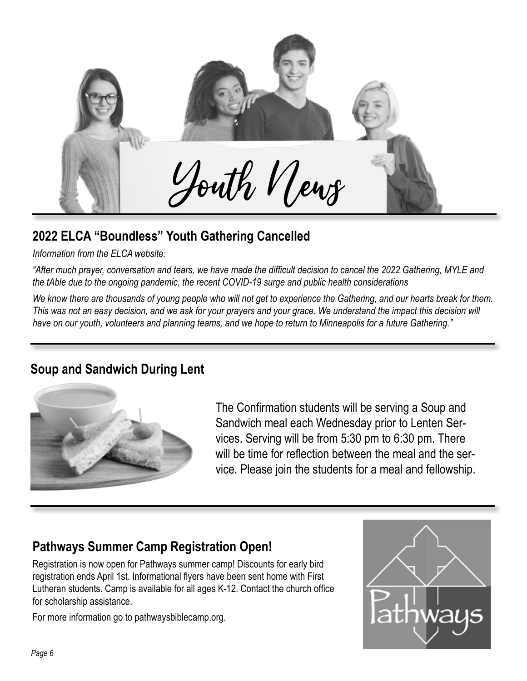

# **2022 ELCA "Boundless" Youth Gathering Cancelled**

*Information from the ELCA website:* 

*"After much prayer, conversation and tears, we have made the difficult decision to cancel the 2022 Gathering, MYLE and the tAble due to the ongoing pandemic, the recent COVID-19 surge and public health considerations*

*We know there are thousands of young people who will not get to experience the Gathering, and our hearts break for them. This was not an easy decision, and we ask for your prayers and your grace. We understand the impact this decision will have on our youth, volunteers and planning teams, and we hope to return to Minneapolis for a future Gathering."*

# **Soup and Sandwich During Lent**



The Confirmation students will be serving a Soup and Sandwich meal each Wednesday prior to Lenten Services. Serving will be from 5:30 pm to 6:30 pm. There will be time for reflection between the meal and the service. Please join the students for a meal and fellowship.

# **Pathways Summer Camp Registration Open!**

Registration is now open for Pathways summer camp! Discounts for early bird registration ends April 1st. Informational flyers have been sent home with First Lutheran students. Camp is available for all ages K-12. Contact the church office for scholarship assistance.

For more information go to pathwaysbiblecamp.org.

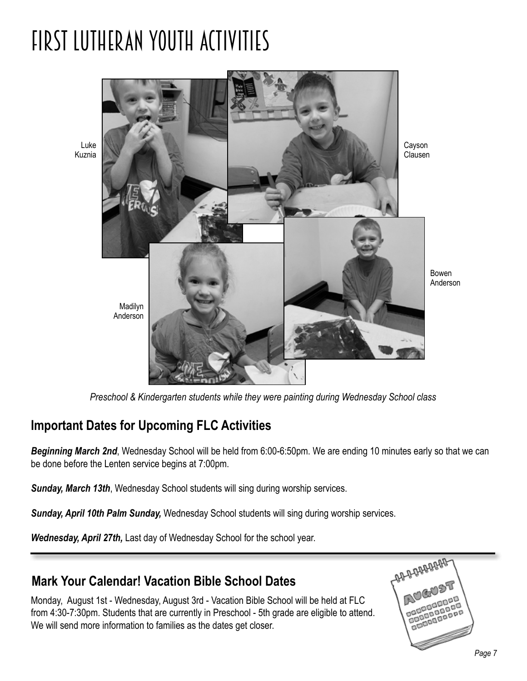# fIRST lUTHERAN yOUTH aCTIVITIES



*Preschool & Kindergarten students while they were painting during Wednesday School class*

# **Important Dates for Upcoming FLC Activities**

*Beginning March 2nd*, Wednesday School will be held from 6:00-6:50pm. We are ending 10 minutes early so that we can be done before the Lenten service begins at 7:00pm.

*Sunday, March 13th*, Wednesday School students will sing during worship services.

*Sunday, April 10th Palm Sunday,* Wednesday School students will sing during worship services.

*Wednesday, April 27th,* Last day of Wednesday School for the school year.

# **Mark Your Calendar! Vacation Bible School Dates**

Monday, August 1st - Wednesday, August 3rd - Vacation Bible School will be held at FLC from 4:30-7:30pm. Students that are currently in Preschool - 5th grade are eligible to attend. We will send more information to families as the dates get closer.

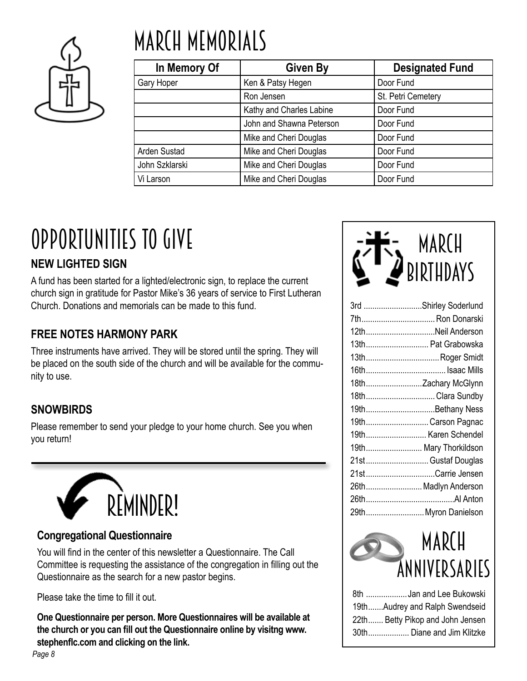

# March Memorials

| In Memory Of   | <b>Given By</b>          | <b>Designated Fund</b> |  |  |
|----------------|--------------------------|------------------------|--|--|
| Gary Hoper     | Ken & Patsy Hegen        | Door Fund              |  |  |
|                | Ron Jensen               | St. Petri Cemetery     |  |  |
|                | Kathy and Charles Labine | Door Fund              |  |  |
|                | John and Shawna Peterson | Door Fund              |  |  |
|                | Mike and Cheri Douglas   | Door Fund              |  |  |
| Arden Sustad   | Mike and Cheri Douglas   | Door Fund              |  |  |
| John Szklarski | Mike and Cheri Douglas   | Door Fund              |  |  |
| Vi Larson      | Mike and Cheri Douglas   | Door Fund              |  |  |

# OPPORTUNITIES TO GIVE

### **NEW LIGHTED SIGN**

A fund has been started for a lighted/electronic sign, to replace the current church sign in gratitude for Pastor Mike's 36 years of service to First Lutheran Church. Donations and memorials can be made to this fund.

# **FREE NOTES HARMONY PARK**

Three instruments have arrived. They will be stored until the spring. They will be placed on the south side of the church and will be available for the community to use.

# **SNOWBIRDS**

Please remember to send your pledge to your home church. See you when you return!



### **Congregational Questionnaire**

You will find in the center of this newsletter a Questionnaire. The Call Committee is requesting the assistance of the congregation in filling out the Questionnaire as the search for a new pastor begins.

Please take the time to fill it out.

**One Questionnaire per person. More Questionnaires will be available at the church or you can fill out the Questionnaire online by visitng www. stephenflc.com and clicking on the link.**



| 3rd Shirley Soderlund |
|-----------------------|
| 7th Ron Donarski      |
| 12thNeil Anderson     |
| 13th Pat Grabowska    |
| 13thRoger Smidt       |
|                       |
| 18thZachary McGlynn   |
| 18thClara Sundby      |
| 19thBethany Ness      |
| 19thCarson Pagnac     |
| 19th Karen Schendel   |
| 19th Mary Thorkildson |
| 21st Gustaf Douglas   |
| 21stCarrie Jensen     |
| 26th Madlyn Anderson  |
|                       |
| 29th Myron Danielson  |

# MARCH Anniversaries

| 8th Jan and Lee Bukowski         |
|----------------------------------|
| 19thAudrey and Ralph Swendseid   |
| 22th Betty Pikop and John Jensen |
| 30th Diane and Jim Klitzke       |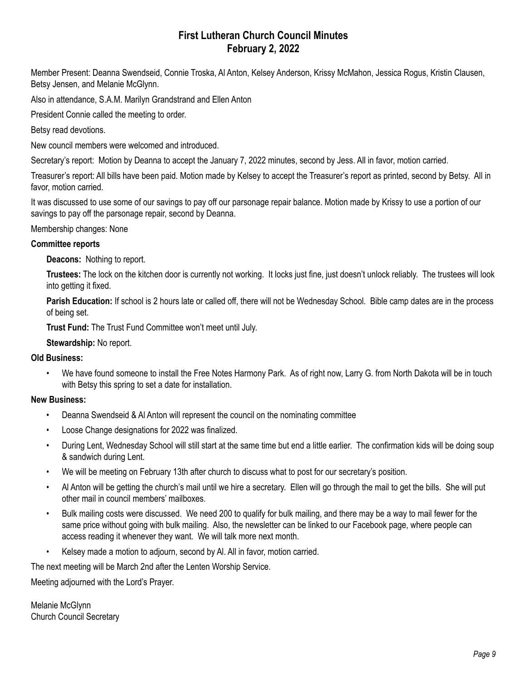#### **First Lutheran Church Council Minutes February 2, 2022**

Member Present: Deanna Swendseid, Connie Troska, Al Anton, Kelsey Anderson, Krissy McMahon, Jessica Rogus, Kristin Clausen, Betsy Jensen, and Melanie McGlynn.

Also in attendance, S.A.M. Marilyn Grandstrand and Ellen Anton

President Connie called the meeting to order.

Betsy read devotions.

New council members were welcomed and introduced.

Secretary's report: Motion by Deanna to accept the January 7, 2022 minutes, second by Jess. All in favor, motion carried.

Treasurer's report: All bills have been paid. Motion made by Kelsey to accept the Treasurer's report as printed, second by Betsy. All in favor, motion carried.

It was discussed to use some of our savings to pay off our parsonage repair balance. Motion made by Krissy to use a portion of our savings to pay off the parsonage repair, second by Deanna.

#### Membership changes: None

#### **Committee reports**

**Deacons:** Nothing to report.

**Trustees:** The lock on the kitchen door is currently not working. It locks just fine, just doesn't unlock reliably. The trustees will look into getting it fixed.

**Parish Education:** If school is 2 hours late or called off, there will not be Wednesday School. Bible camp dates are in the process of being set.

**Trust Fund:** The Trust Fund Committee won't meet until July.

**Stewardship:** No report.

#### **Old Business:**

• We have found someone to install the Free Notes Harmony Park. As of right now, Larry G. from North Dakota will be in touch with Betsy this spring to set a date for installation.

#### **New Business:**

- Deanna Swendseid & Al Anton will represent the council on the nominating committee
- Loose Change designations for 2022 was finalized.
- During Lent, Wednesday School will still start at the same time but end a little earlier. The confirmation kids will be doing soup & sandwich during Lent.
- We will be meeting on February 13th after church to discuss what to post for our secretary's position.
- Al Anton will be getting the church's mail until we hire a secretary. Ellen will go through the mail to get the bills. She will put other mail in council members' mailboxes.
- Bulk mailing costs were discussed. We need 200 to qualify for bulk mailing, and there may be a way to mail fewer for the same price without going with bulk mailing. Also, the newsletter can be linked to our Facebook page, where people can access reading it whenever they want. We will talk more next month.
- Kelsey made a motion to adjourn, second by Al. All in favor, motion carried.

The next meeting will be March 2nd after the Lenten Worship Service.

Meeting adjourned with the Lord's Prayer.

Melanie McGlynn Church Council Secretary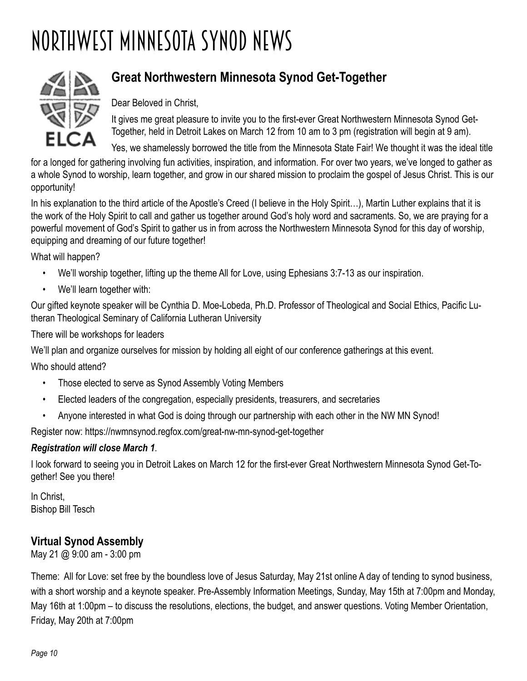# NORTHWEST MINNESOTA SYNOD NEWS



# **Great Northwestern Minnesota Synod Get-Together**

Dear Beloved in Christ,

It gives me great pleasure to invite you to the first-ever Great Northwestern Minnesota Synod Get-Together, held in Detroit Lakes on March 12 from 10 am to 3 pm (registration will begin at 9 am).

Yes, we shamelessly borrowed the title from the Minnesota State Fair! We thought it was the ideal title for a longed for gathering involving fun activities, inspiration, and information. For over two years, we've longed to gather as a whole Synod to worship, learn together, and grow in our shared mission to proclaim the gospel of Jesus Christ. This is our

In his explanation to the third article of the Apostle's Creed (I believe in the Holy Spirit…), Martin Luther explains that it is the work of the Holy Spirit to call and gather us together around God's holy word and sacraments. So, we are praying for a powerful movement of God's Spirit to gather us in from across the Northwestern Minnesota Synod for this day of worship, equipping and dreaming of our future together!

What will happen?

opportunity!

- We'll worship together, lifting up the theme All for Love, using Ephesians 3:7-13 as our inspiration.
- We'll learn together with:

Our gifted keynote speaker will be Cynthia D. Moe-Lobeda, Ph.D. Professor of Theological and Social Ethics, Pacific Lutheran Theological Seminary of California Lutheran University

There will be workshops for leaders

We'll plan and organize ourselves for mission by holding all eight of our conference gatherings at this event.

Who should attend?

- Those elected to serve as Synod Assembly Voting Members
- Elected leaders of the congregation, especially presidents, treasurers, and secretaries
- Anyone interested in what God is doing through our partnership with each other in the NW MN Synod!

Register now: https://nwmnsynod.regfox.com/great-nw-mn-synod-get-together

#### *Registration will close March 1*.

I look forward to seeing you in Detroit Lakes on March 12 for the first-ever Great Northwestern Minnesota Synod Get-Together! See you there!

In Christ, Bishop Bill Tesch

### **Virtual Synod Assembly**

May 21 @ 9:00 am - 3:00 pm

Theme: All for Love: set free by the boundless love of Jesus Saturday, May 21st online A day of tending to synod business, with a short worship and a keynote speaker. Pre-Assembly Information Meetings, Sunday, May 15th at 7:00pm and Monday, May 16th at 1:00pm – to discuss the resolutions, elections, the budget, and answer questions. Voting Member Orientation, Friday, May 20th at 7:00pm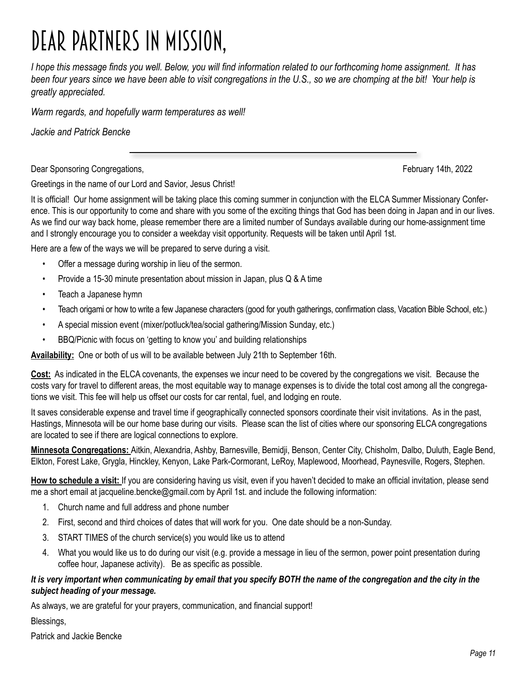# dear partners in mission,

*I hope this message finds you well. Below, you will find information related to our forthcoming home assignment. It has been four years since we have been able to visit congregations in the U.S., so we are chomping at the bit! Your help is greatly appreciated.*

*Warm regards, and hopefully warm temperatures as well!*

*Jackie and Patrick Bencke*

Dear Sponsoring Congregations, February 14th, 2022

Greetings in the name of our Lord and Savior, Jesus Christ!

It is official! Our home assignment will be taking place this coming summer in conjunction with the ELCA Summer Missionary Conference. This is our opportunity to come and share with you some of the exciting things that God has been doing in Japan and in our lives. As we find our way back home, please remember there are a limited number of Sundays available during our home-assignment time and I strongly encourage you to consider a weekday visit opportunity. Requests will be taken until April 1st.

Here are a few of the ways we will be prepared to serve during a visit.

- Offer a message during worship in lieu of the sermon.
- Provide a 15-30 minute presentation about mission in Japan, plus Q & A time
- Teach a Japanese hymn
- Teach origami or how to write a few Japanese characters (good for youth gatherings, confirmation class, Vacation Bible School, etc.)
- A special mission event (mixer/potluck/tea/social gathering/Mission Sunday, etc.)
- BBQ/Picnic with focus on 'getting to know you' and building relationships

**Availability:** One or both of us will to be available between July 21th to September 16th.

**Cost:** As indicated in the ELCA covenants, the expenses we incur need to be covered by the congregations we visit. Because the costs vary for travel to different areas, the most equitable way to manage expenses is to divide the total cost among all the congregations we visit. This fee will help us offset our costs for car rental, fuel, and lodging en route.

It saves considerable expense and travel time if geographically connected sponsors coordinate their visit invitations. As in the past, Hastings, Minnesota will be our home base during our visits. Please scan the list of cities where our sponsoring ELCA congregations are located to see if there are logical connections to explore.

**Minnesota Congregations:** Aitkin, Alexandria, Ashby, Barnesville, Bemidji, Benson, Center City, Chisholm, Dalbo, Duluth, Eagle Bend, Elkton, Forest Lake, Grygla, Hinckley, Kenyon, Lake Park-Cormorant, LeRoy, Maplewood, Moorhead, Paynesville, Rogers, Stephen.

**How to schedule a visit:** If you are considering having us visit, even if you haven't decided to make an official invitation, please send me a short email at jacqueline.bencke@gmail.com by April 1st. and include the following information:

- 1. Church name and full address and phone number
- 2. First, second and third choices of dates that will work for you. One date should be a non-Sunday.
- 3. START TIMES of the church service(s) you would like us to attend
- 4. What you would like us to do during our visit (e.g. provide a message in lieu of the sermon, power point presentation during coffee hour, Japanese activity). Be as specific as possible.

#### *It is very important when communicating by email that you specify BOTH the name of the congregation and the city in the subject heading of your message.*

As always, we are grateful for your prayers, communication, and financial support!

Blessings,

Patrick and Jackie Bencke